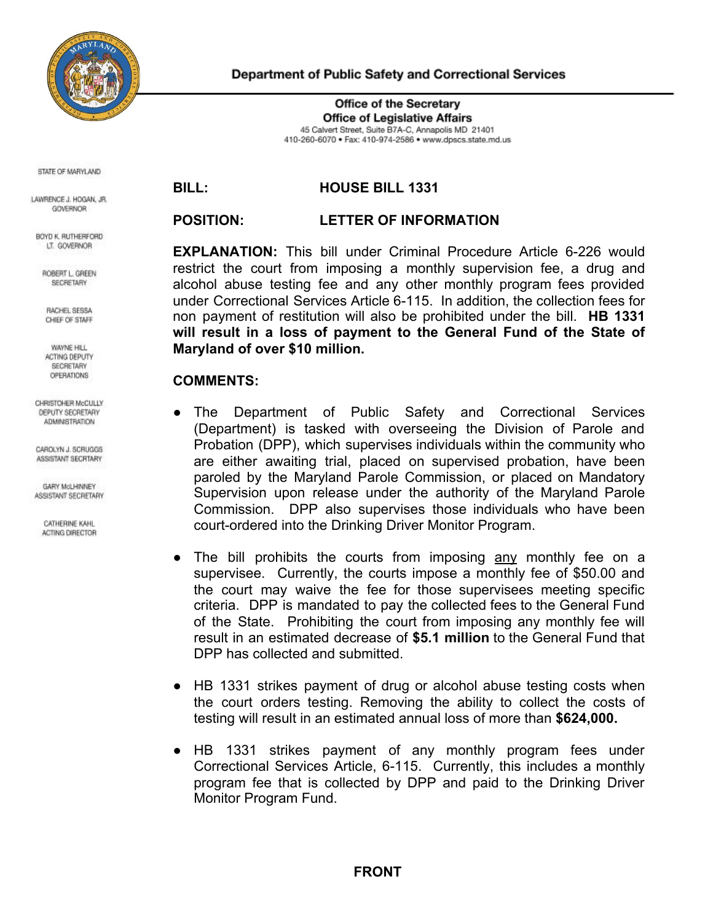

Department of Public Safety and Correctional Services

**Office of the Secretary Office of Legislative Affairs** 45 Calvert Street, Suite B7A-C, Annapolis MD 21401 410-260-6070 · Fax: 410-974-2586 · www.dpscs.state.md.us

STATE OF MARYLAND

LAWRENCE J. HOGAN, JR. GOVERNOR

BOYD K. RUTHERFORD LT. GOVERNOR

ROBERT L. GREEN SECRETARY

RACHEL SESSA CHIEF OF STAFF

WAYNE HILL ACTING DEPUTY SECRETARY OPERATIONS

CHRISTOHER McCULLY DEPUTY SECRETARY **ADMINISTRATION** 

CAROLYN J. SCRUGGS ASSISTANT SECRTARY

**GARY McLHINNEY** ASSISTANT SECRETARY

CATHERINE KAHL ACTING DIRECTOR

## **BILL: HOUSE BILL 1331**

## **POSITION: LETTER OF INFORMATION**

**EXPLANATION:** This bill under Criminal Procedure Article 6-226 would restrict the court from imposing a monthly supervision fee, a drug and alcohol abuse testing fee and any other monthly program fees provided under Correctional Services Article 6-115. In addition, the collection fees for non payment of restitution will also be prohibited under the bill. **HB 1331 will result in a loss of payment to the General Fund of the State of Maryland of over \$10 million.**

## **COMMENTS:**

- The Department of Public Safety and Correctional Services (Department) is tasked with overseeing the Division of Parole and Probation (DPP), which supervises individuals within the community who are either awaiting trial, placed on supervised probation, have been paroled by the Maryland Parole Commission, or placed on Mandatory Supervision upon release under the authority of the Maryland Parole Commission. DPP also supervises those individuals who have been court-ordered into the Drinking Driver Monitor Program.
- The bill prohibits the courts from imposing any monthly fee on a supervisee. Currently, the courts impose a monthly fee of \$50.00 and the court may waive the fee for those supervisees meeting specific criteria. DPP is mandated to pay the collected fees to the General Fund of the State. Prohibiting the court from imposing any monthly fee will result in an estimated decrease of **\$5.1 million** to the General Fund that DPP has collected and submitted.
- HB 1331 strikes payment of drug or alcohol abuse testing costs when the court orders testing. Removing the ability to collect the costs of testing will result in an estimated annual loss of more than **\$624,000.**
- HB 1331 strikes payment of any monthly program fees under Correctional Services Article, 6-115. Currently, this includes a monthly program fee that is collected by DPP and paid to the Drinking Driver Monitor Program Fund.